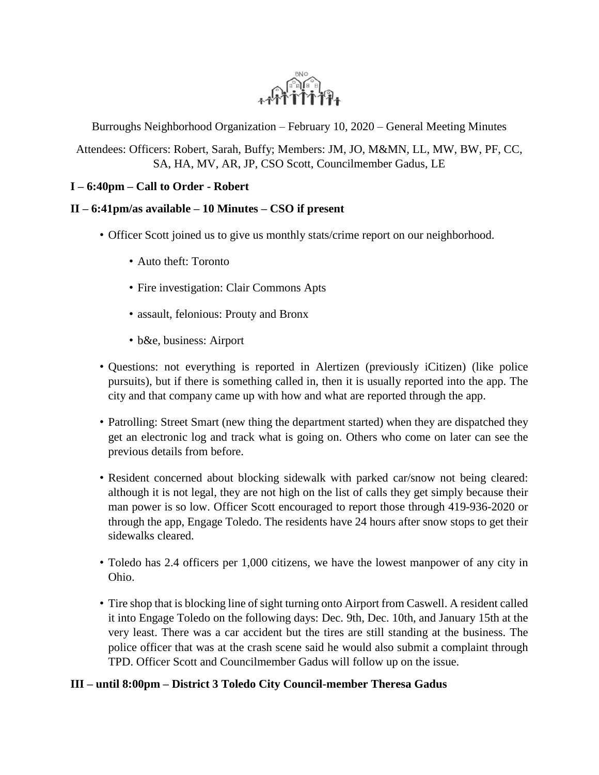

Burroughs Neighborhood Organization – February 10, 2020 – General Meeting Minutes

Attendees: Officers: Robert, Sarah, Buffy; Members: JM, JO, M&MN, LL, MW, BW, PF, CC, SA, HA, MV, AR, JP, CSO Scott, Councilmember Gadus, LE

# **I – 6:40pm – Call to Order - Robert**

# **II – 6:41pm/as available – 10 Minutes – CSO if present**

- Officer Scott joined us to give us monthly stats/crime report on our neighborhood.
	- Auto theft: Toronto
	- Fire investigation: Clair Commons Apts
	- assault, felonious: Prouty and Bronx
	- b&e, business: Airport
- Questions: not everything is reported in Alertizen (previously iCitizen) (like police pursuits), but if there is something called in, then it is usually reported into the app. The city and that company came up with how and what are reported through the app.
- Patrolling: Street Smart (new thing the department started) when they are dispatched they get an electronic log and track what is going on. Others who come on later can see the previous details from before.
- Resident concerned about blocking sidewalk with parked car/snow not being cleared: although it is not legal, they are not high on the list of calls they get simply because their man power is so low. Officer Scott encouraged to report those through 419-936-2020 or through the app, Engage Toledo. The residents have 24 hours after snow stops to get their sidewalks cleared.
- Toledo has 2.4 officers per 1,000 citizens, we have the lowest manpower of any city in Ohio.
- Tire shop that is blocking line of sight turning onto Airport from Caswell. A resident called it into Engage Toledo on the following days: Dec. 9th, Dec. 10th, and January 15th at the very least. There was a car accident but the tires are still standing at the business. The police officer that was at the crash scene said he would also submit a complaint through TPD. Officer Scott and Councilmember Gadus will follow up on the issue.

# **III – until 8:00pm – District 3 Toledo City Council-member Theresa Gadus**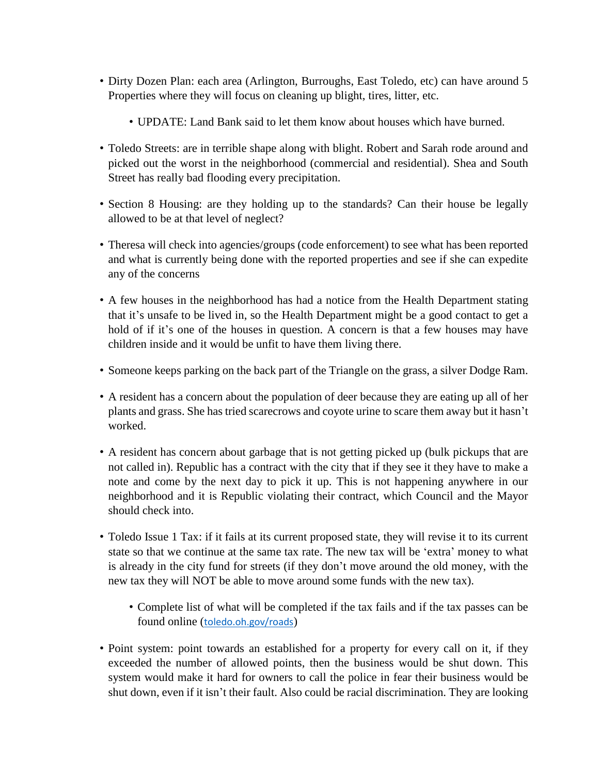- Dirty Dozen Plan: each area (Arlington, Burroughs, East Toledo, etc) can have around 5 Properties where they will focus on cleaning up blight, tires, litter, etc.
	- UPDATE: Land Bank said to let them know about houses which have burned.
- Toledo Streets: are in terrible shape along with blight. Robert and Sarah rode around and picked out the worst in the neighborhood (commercial and residential). Shea and South Street has really bad flooding every precipitation.
- Section 8 Housing: are they holding up to the standards? Can their house be legally allowed to be at that level of neglect?
- Theresa will check into agencies/groups (code enforcement) to see what has been reported and what is currently being done with the reported properties and see if she can expedite any of the concerns
- A few houses in the neighborhood has had a notice from the Health Department stating that it's unsafe to be lived in, so the Health Department might be a good contact to get a hold of if it's one of the houses in question. A concern is that a few houses may have children inside and it would be unfit to have them living there.
- Someone keeps parking on the back part of the Triangle on the grass, a silver Dodge Ram.
- A resident has a concern about the population of deer because they are eating up all of her plants and grass. She has tried scarecrows and coyote urine to scare them away but it hasn't worked.
- A resident has concern about garbage that is not getting picked up (bulk pickups that are not called in). Republic has a contract with the city that if they see it they have to make a note and come by the next day to pick it up. This is not happening anywhere in our neighborhood and it is Republic violating their contract, which Council and the Mayor should check into.
- Toledo Issue 1 Tax: if it fails at its current proposed state, they will revise it to its current state so that we continue at the same tax rate. The new tax will be 'extra' money to what is already in the city fund for streets (if they don't move around the old money, with the new tax they will NOT be able to move around some funds with the new tax).
	- Complete list of what will be completed if the tax fails and if the tax passes can be found online ([toledo.oh.gov/roads](http://toledo.oh.gov/roads))
- Point system: point towards an established for a property for every call on it, if they exceeded the number of allowed points, then the business would be shut down. This system would make it hard for owners to call the police in fear their business would be shut down, even if it isn't their fault. Also could be racial discrimination. They are looking